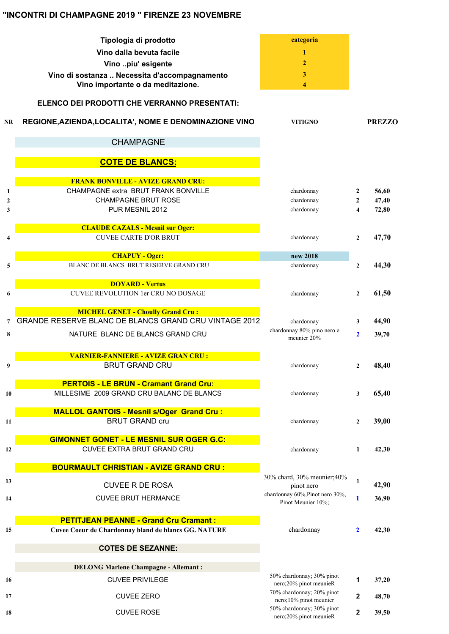## **"INCONTRI DI CHAMPAGNE 2019 " FIRENZE 23 NOVEMBRE**

|                   | Tipologia di prodotto                                             | categoria                                           |                              |                |
|-------------------|-------------------------------------------------------------------|-----------------------------------------------------|------------------------------|----------------|
|                   | Vino dalla bevuta facile                                          | 1                                                   |                              |                |
|                   | Vino piu' esigente                                                | $\mathbf{2}$                                        |                              |                |
|                   | Vino di sostanza  Necessita d'accompagnamento                     | 3                                                   |                              |                |
|                   | Vino importante o da meditazione.                                 | 4                                                   |                              |                |
|                   | ELENCO DEI PRODOTTI CHE VERRANNO PRESENTATI:                      |                                                     |                              |                |
| <b>NR</b>         | REGIONE, AZIENDA, LOCALITA', NOME E DENOMINAZIONE VINO            | <b>VITIGNO</b>                                      |                              | <b>PREZZO</b>  |
|                   | <b>CHAMPAGNE</b>                                                  |                                                     |                              |                |
|                   | <b>COTE DE BLANCS:</b>                                            |                                                     |                              |                |
|                   |                                                                   |                                                     |                              |                |
|                   | <b>FRANK BONVILLE - AVIZE GRAND CRU:</b>                          |                                                     |                              |                |
| 1<br>$\mathbf{2}$ | CHAMPAGNE extra BRUT FRANK BONVILLE<br><b>CHAMPAGNE BRUT ROSE</b> | chardonnay<br>chardonnay                            | 2                            | 56,60          |
| 3                 | PUR MESNIL 2012                                                   | chardonnay                                          | 2<br>$\overline{\mathbf{4}}$ | 47,40<br>72,80 |
|                   |                                                                   |                                                     |                              |                |
|                   | <b>CLAUDE CAZALS - Mesnil sur Oger:</b>                           |                                                     |                              |                |
| 4                 | <b>CUVEE CARTE D'OR BRUT</b>                                      | chardonnay                                          | $\overline{2}$               | 47,70          |
|                   | <b>CHAPUY - Oger:</b>                                             | new 2018                                            |                              |                |
| 5                 | BLANC DE BLANCS BRUT RESERVE GRAND CRU                            | chardonnay                                          | $\mathbf{2}$                 | 44,30          |
|                   |                                                                   |                                                     |                              |                |
|                   | <b>DOYARD - Vertus</b>                                            |                                                     |                              |                |
| 6                 | CUVEE REVOLUTION 1er CRU NO DOSAGE                                | chardonnay                                          | $\mathbf{2}$                 | 61,50          |
|                   | <b>MICHEL GENET - Choully Grand Cru:</b>                          |                                                     |                              |                |
| 7                 | GRANDE RESERVE BLANC DE BLANCS GRAND CRU VINTAGE 2012             | chardonnay                                          | 3                            | 44,90          |
| 8                 | NATURE BLANC DE BLANCS GRAND CRU                                  | chardonnay 80% pino nero e<br>meunier 20%           | $\mathbf{2}$                 | 39,70          |
|                   | <b>VARNIER-FANNIERE - AVIZE GRAN CRU :</b>                        |                                                     |                              |                |
| 9                 | <b>BRUT GRAND CRU</b>                                             | chardonnay                                          | $\overline{2}$               | 48,40          |
|                   |                                                                   |                                                     |                              |                |
|                   | <b>PERTOIS - LE BRUN - Cramant Grand Cru:</b>                     |                                                     |                              |                |
| 10                | MILLESIME 2009 GRAND CRU BALANC DE BLANCS                         | chardonnay                                          | 3                            | 65,40          |
|                   | <b>MALLOL GANTOIS - Mesnil s/Oger Grand Cru:</b>                  |                                                     |                              |                |
| 11                | <b>BRUT GRAND cru</b>                                             | chardonnay                                          | $\mathbf{2}$                 | 39,00          |
|                   | <b>GIMONNET GONET - LE MESNIL SUR OGER G.C:</b>                   |                                                     |                              |                |
| 12                | CUVEE EXTRA BRUT GRAND CRU                                        | chardonnay                                          | 1                            | 42,30          |
|                   |                                                                   |                                                     |                              |                |
|                   | <b>BOURMAULT CHRISTIAN - AVIZE GRAND CRU:</b>                     |                                                     |                              |                |
| 13                | <b>CUVEE R DE ROSA</b>                                            | 30% chard, 30% meunier;40%<br>pinot nero            | 1                            | 42,90          |
| 14                | <b>CUVEE BRUT HERMANCE</b>                                        | chardonnay 60%, Pinot nero 30%,                     | 1                            | 36,90          |
|                   |                                                                   | Pinot Meunier 10%;                                  |                              |                |
|                   | <b>PETITJEAN PEANNE - Grand Cru Cramant:</b>                      |                                                     |                              |                |
| 15                | Cuvee Coeur de Chardonnay bland de blancs GG. NATURE              | chardonnay                                          | 2                            | 42,30          |
|                   | <b>COTES DE SEZANNE:</b>                                          |                                                     |                              |                |
|                   | <b>DELONG Marlene Champagne - Allemant:</b>                       |                                                     |                              |                |
|                   |                                                                   | 50% chardonnay; 30% pinot                           |                              |                |
| 16                | <b>CUVEE PRIVILEGE</b>                                            | nero;20% pinot meunieR                              | 1                            | 37,20          |
| 17                | <b>CUVEE ZERO</b>                                                 | 70% chardonnay; 20% pinot<br>nero;10% pinot meunier | 2                            | 48,70          |
| 18                | <b>CUVEE ROSE</b>                                                 | 50% chardonnay; 30% pinot<br>nero;20% pinot meunieR | 2                            | 39,50          |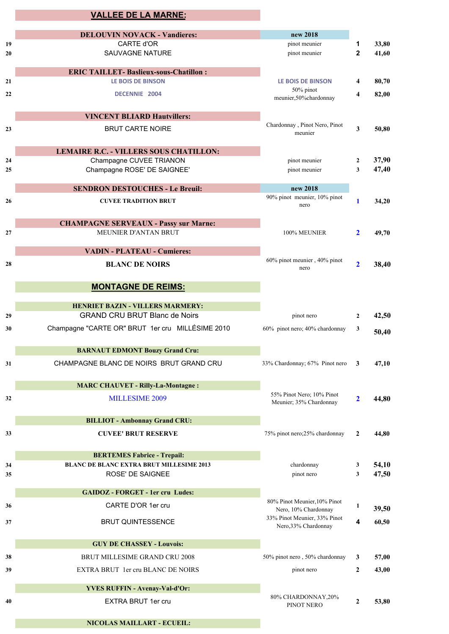|          | <b>VALLEE DE LA MARNE:</b>                                          |                                                                              |                         |                |
|----------|---------------------------------------------------------------------|------------------------------------------------------------------------------|-------------------------|----------------|
|          | <b>DELOUVIN NOVACK - Vandieres:</b>                                 | new 2018                                                                     |                         |                |
| 19       | CARTE d'OR                                                          | pinot meunier                                                                | 1                       | 33,80          |
| 20       | <b>SAUVAGNE NATURE</b>                                              | pinot meunier                                                                | $\mathbf{2}$            | 41,60          |
|          | <b>ERIC TAILLET- Baslieux-sous-Chatillon:</b>                       |                                                                              |                         |                |
| 21       | <b>LE BOIS DE BINSON</b>                                            | <b>LE BOIS DE BINSON</b>                                                     | 4                       | 80,70          |
| 22       | DECENNIE 2004                                                       | 50% pinot<br>meunier,50%chardonnay                                           | 4                       | 82,00          |
|          | <b>VINCENT BLIARD Hautvillers:</b>                                  |                                                                              |                         |                |
| 23       | <b>BRUT CARTE NOIRE</b>                                             | Chardonnay, Pinot Nero, Pinot<br>meunier                                     | $\overline{\mathbf{3}}$ | 50,80          |
|          | LEMAIRE R.C. - VILLERS SOUS CHATILLON:                              |                                                                              |                         |                |
| 24       | Champagne CUVEE TRIANON                                             | pinot meunier                                                                | $\mathbf{2}$            | 37,90          |
| 25       | Champagne ROSE' DE SAIGNEE'                                         | pinot meunier                                                                | 3                       | 47,40          |
|          | <b>SENDRON DESTOUCHES - Le Breuil:</b>                              | new 2018                                                                     |                         |                |
| 26       | <b>CUVEE TRADITION BRUT</b>                                         | 90% pinot meunier, 10% pinot<br>nero                                         | $\mathbf{1}$            | 34,20          |
|          | <b>CHAMPAGNE SERVEAUX - Passy sur Marne:</b>                        |                                                                              |                         |                |
| 27       | MEUNIER D'ANTAN BRUT                                                | 100% MEUNIER                                                                 | $\mathbf{2}$            | 49,70          |
|          | <b>VADIN - PLATEAU - Cumieres:</b>                                  |                                                                              |                         |                |
| 28       | <b>BLANC DE NOIRS</b>                                               | 60% pinot meunier, 40% pinot<br>nero                                         | $\overline{2}$          | 38,40          |
|          | <b>MONTAGNE DE REIMS:</b>                                           |                                                                              |                         |                |
|          | <b>HENRIET BAZIN - VILLERS MARMERY:</b>                             |                                                                              |                         |                |
| 29       | <b>GRAND CRU BRUT Blanc de Noirs</b>                                | pinot nero                                                                   | $\mathbf{2}$            | 42,50          |
| 30       | Champagne "CARTE OR" BRUT 1er cru MILLÉSIME 2010                    | 60% pinot nero; 40% chardonnay                                               | 3                       | 50,40          |
|          | <b>BARNAUT EDMONT Bouzy Grand Cru:</b>                              |                                                                              |                         |                |
| 31       | CHAMPAGNE BLANC DE NOIRS BRUT GRAND CRU                             | 33% Chardonnay; 67% Pinot nero                                               | 3                       | 47,10          |
|          | <b>MARC CHAUVET - Rilly-La-Montagne:</b>                            |                                                                              |                         |                |
| 32       | MILLESIME 2009                                                      | 55% Pinot Nero; 10% Pinot<br>Meunier; 35% Chardonnay                         | $\overline{2}$          | 44,80          |
|          |                                                                     |                                                                              |                         |                |
|          | <b>BILLIOT - Ambonnay Grand CRU:</b>                                |                                                                              |                         |                |
| 33       | <b>CUVEE' BRUT RESERVE</b>                                          | 75% pinot nero;25% chardonnay                                                | 2                       | 44,80          |
|          | <b>BERTEMES Fabrice - Trepail:</b>                                  |                                                                              |                         |                |
| 34<br>35 | <b>BLANC DE BLANC EXTRA BRUT MILLESIME 2013</b><br>ROSE' DE SAIGNEE | chardonnay<br>pinot nero                                                     | 3<br>3                  | 54,10<br>47,50 |
|          | <b>GAIDOZ - FORGET - 1er cru Ludes:</b>                             |                                                                              |                         |                |
| 36       | CARTE D'OR 1er cru                                                  | 80% Pinot Meunier, 10% Pinot                                                 | 1                       | 39,50          |
| 37       | <b>BRUT QUINTESSENCE</b>                                            | Nero, 10% Chardonnay<br>33% Pinot Meunier, 33% Pinot<br>Nero, 33% Chardonnay | 4                       | 60,50          |
|          |                                                                     |                                                                              |                         |                |
|          | <b>GUY DE CHASSEY - Louvois:</b>                                    |                                                                              |                         |                |
| 38       | BRUT MILLESIME GRAND CRU 2008<br>EXTRA BRUT 1er cru BLANC DE NOIRS  | 50% pinot nero, 50% chardonnay                                               | 3                       | 57,00          |
| 39       |                                                                     | pinot nero                                                                   | 2                       | 43,00          |
|          | <b>YVES RUFFIN - Avenay-Val-d'Or:</b>                               | 80% CHARDONNAY, 20%                                                          |                         |                |
| 40       | EXTRA BRUT 1er cru                                                  | PINOT NERO                                                                   | $\mathbf{2}$            | 53,80          |
|          | <b>NICOLAS MAILLART - ECUEIL:</b>                                   |                                                                              |                         |                |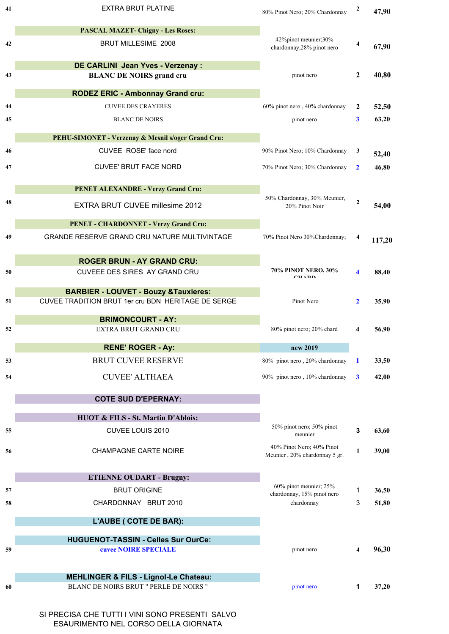| 41 | <b>EXTRA BRUT PLATINE</b>                          | 80% Pinot Nero; 20% Chardonnay                             | $\boldsymbol{2}$        | 47,90  |
|----|----------------------------------------------------|------------------------------------------------------------|-------------------------|--------|
|    | <b>PASCAL MAZET- Chigny - Les Roses:</b>           |                                                            |                         |        |
| 42 | <b>BRUT MILLESIME 2008</b>                         | 42%pinot meunier;30%<br>chardonnay, 28% pinot nero         | 4                       | 67,90  |
|    | DE CARLINI Jean Yves - Verzenay :                  |                                                            |                         |        |
| 43 | <b>BLANC DE NOIRS grand cru</b>                    | pinot nero                                                 | $\overline{2}$          | 40,80  |
|    | <b>RODEZ ERIC - Ambonnay Grand cru:</b>            |                                                            |                         |        |
| 44 | <b>CUVEE DES CRAYERES</b>                          | 60% pinot nero, 40% chardonnay                             | $\overline{2}$          | 52,50  |
| 45 | <b>BLANC DE NOIRS</b>                              | pinot nero                                                 | 3                       | 63,20  |
|    | PEHU-SIMONET - Verzenay & Mesnil s/oger Grand Cru: |                                                            |                         |        |
| 46 | CUVEE ROSE' face nord                              | 90% Pinot Nero; 10% Chardonnay                             | 3                       | 52,40  |
| 47 | <b>CUVEE' BRUT FACE NORD</b>                       | 70% Pinot Nero; 30% Chardonnay                             | $\mathbf{2}$            | 46,80  |
|    | <b>PENET ALEXANDRE - Verzy Grand Cru:</b>          |                                                            |                         |        |
| 48 | EXTRA BRUT CUVEE millesime 2012                    | 50% Chardonnay, 30% Meunier,<br>20% Pinot Noir             | $\mathbf{2}$            | 54,00  |
|    | PENET - CHARDONNET - Verzy Grand Cru:              |                                                            |                         |        |
| 49 | GRANDE RESERVE GRAND CRU NATURE MULTIVINTAGE       | 70% Pinot Nero 30%Chardonnay;                              | 4                       | 117,20 |
|    | <b>ROGER BRUN - AY GRAND CRU:</b>                  |                                                            |                         |        |
| 50 | CUVEEE DES SIRES AY GRAND CRU                      | 70% PINOT NERO, 30%<br>$\alpha$ ita din                    | $\overline{\mathbf{4}}$ | 88,40  |
|    | <b>BARBIER - LOUVET - Bouzy &amp; Tauxieres:</b>   |                                                            |                         |        |
| 51 | CUVEE TRADITION BRUT 1er cru BDN HERITAGE DE SERGE | Pinot Nero                                                 | $\mathbf{2}$            | 35,90  |
|    | <b>BRIMONCOURT - AY:</b>                           |                                                            |                         |        |
| 52 | <b>EXTRA BRUT GRAND CRU</b>                        | 80% pinot nero; 20% chard                                  | 4                       | 56,90  |
|    | <b>RENE' ROGER - Ay:</b>                           | new 2019                                                   |                         |        |
| 53 | <b>BRUT CUVEE RESERVE</b>                          | 80% pinot nero, 20% chardonnay                             | 1                       | 33,50  |
| 54 | <b>CUVEE' ALTHAEA</b>                              | 90% pinot nero, 10% chardonnay                             | 3                       | 42,00  |
|    | <b>COTE SUD D'EPERNAY:</b>                         |                                                            |                         |        |
|    | <b>HUOT &amp; FILS - St. Martin D'Ablois:</b>      |                                                            |                         |        |
| 55 | CUVEE LOUIS 2010                                   | 50% pinot nero; 50% pinot<br>meunier                       | 3                       | 63,60  |
| 56 | <b>CHAMPAGNE CARTE NOIRE</b>                       | 40% Pinot Nero; 40% Pinot<br>Meunier, 20% chardonnay 5 gr. | 1                       | 39,00  |
|    | <b>ETIENNE OUDART - Brugny:</b>                    |                                                            |                         |        |
| 57 | <b>BRUT ORIGINE</b>                                | 60% pinot meunier; 25%                                     | 1                       | 36,50  |
| 58 | CHARDONNAY BRUT 2010                               | chardonnay, 15% pinot nero<br>chardonnay                   | 3                       | 51,80  |
|    | L'AUBE ( COTE DE BAR):                             |                                                            |                         |        |
|    | <b>HUGUENOT-TASSIN - Celles Sur OurCe:</b>         |                                                            |                         |        |
| 59 | cuvee NOIRE SPECIALE                               | pinot nero                                                 | 4                       | 96,30  |
|    | <b>MEHLINGER &amp; FILS - Lignol-Le Chateau:</b>   |                                                            |                         |        |
| 60 | BLANC DE NOIRS BRUT " PERLE DE NOIRS "             | pinot nero                                                 | 1                       | 37,20  |
|    |                                                    |                                                            |                         |        |

SI PRECISA CHE TUTTI I VINI SONO PRESENTI SALVO ESAURIMENTO NEL CORSO DELLA GIORNATA